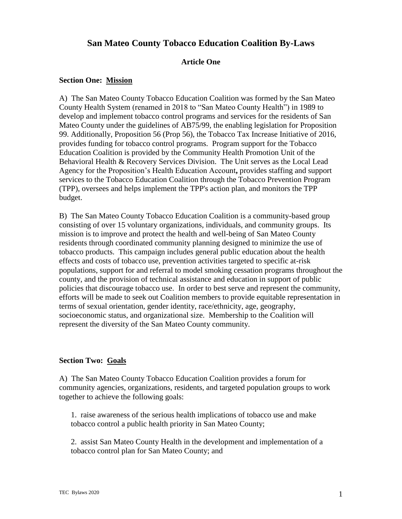# **San Mateo County Tobacco Education Coalition By-Laws**

### **Article One**

### **Section One: Mission**

A) The San Mateo County Tobacco Education Coalition was formed by the San Mateo County Health System (renamed in 2018 to "San Mateo County Health") in 1989 to develop and implement tobacco control programs and services for the residents of San Mateo County under the guidelines of AB75/99, the enabling legislation for Proposition 99. Additionally, Proposition 56 (Prop 56), the Tobacco Tax Increase Initiative of 2016, provides funding for tobacco control programs. Program support for the Tobacco Education Coalition is provided by the Community Health Promotion Unit of the Behavioral Health & Recovery Services Division. The Unit serves as the Local Lead Agency for the Proposition's Health Education Account**,** provides staffing and support services to the Tobacco Education Coalition through the Tobacco Prevention Program (TPP), oversees and helps implement the TPP's action plan, and monitors the TPP budget.

B) The San Mateo County Tobacco Education Coalition is a community-based group consisting of over 15 voluntary organizations, individuals, and community groups. Its mission is to improve and protect the health and well-being of San Mateo County residents through coordinated community planning designed to minimize the use of tobacco products. This campaign includes general public education about the health effects and costs of tobacco use, prevention activities targeted to specific at-risk populations, support for and referral to model smoking cessation programs throughout the county, and the provision of technical assistance and education in support of public policies that discourage tobacco use. In order to best serve and represent the community, efforts will be made to seek out Coalition members to provide equitable representation in terms of sexual orientation, gender identity, race/ethnicity, age, geography, socioeconomic status, and organizational size. Membership to the Coalition will represent the diversity of the San Mateo County community.

#### **Section Two: Goals**

A) The San Mateo County Tobacco Education Coalition provides a forum for community agencies, organizations, residents, and targeted population groups to work together to achieve the following goals:

1. raise awareness of the serious health implications of tobacco use and make tobacco control a public health priority in San Mateo County;

2. assist San Mateo County Health in the development and implementation of a tobacco control plan for San Mateo County; and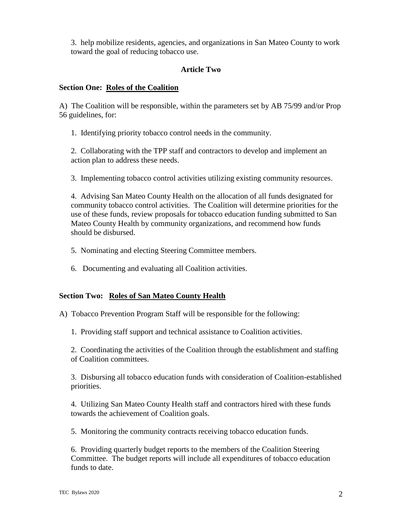3. help mobilize residents, agencies, and organizations in San Mateo County to work toward the goal of reducing tobacco use.

## **Article Two**

## **Section One: Roles of the Coalition**

A) The Coalition will be responsible, within the parameters set by AB 75/99 and/or Prop 56 guidelines, for:

1. Identifying priority tobacco control needs in the community.

2. Collaborating with the TPP staff and contractors to develop and implement an action plan to address these needs.

3. Implementing tobacco control activities utilizing existing community resources.

4. Advising San Mateo County Health on the allocation of all funds designated for community tobacco control activities. The Coalition will determine priorities for the use of these funds, review proposals for tobacco education funding submitted to San Mateo County Health by community organizations, and recommend how funds should be disbursed.

- 5. Nominating and electing Steering Committee members.
- 6. Documenting and evaluating all Coalition activities.

# **Section Two: Roles of San Mateo County Health**

A) Tobacco Prevention Program Staff will be responsible for the following:

1. Providing staff support and technical assistance to Coalition activities.

2. Coordinating the activities of the Coalition through the establishment and staffing of Coalition committees.

3. Disbursing all tobacco education funds with consideration of Coalition-established priorities.

4. Utilizing San Mateo County Health staff and contractors hired with these funds towards the achievement of Coalition goals.

5. Monitoring the community contracts receiving tobacco education funds.

6. Providing quarterly budget reports to the members of the Coalition Steering Committee. The budget reports will include all expenditures of tobacco education funds to date.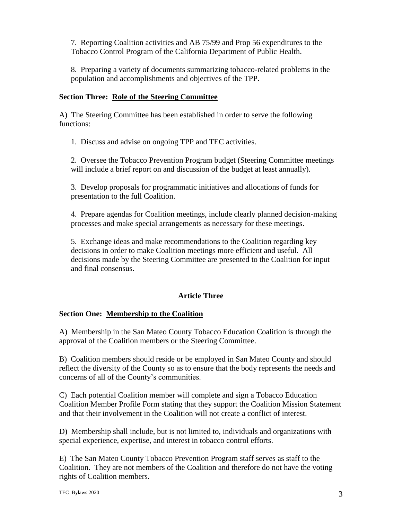7. Reporting Coalition activities and AB 75/99 and Prop 56 expenditures to the Tobacco Control Program of the California Department of Public Health.

8. Preparing a variety of documents summarizing tobacco-related problems in the population and accomplishments and objectives of the TPP.

## **Section Three: Role of the Steering Committee**

A) The Steering Committee has been established in order to serve the following functions:

1. Discuss and advise on ongoing TPP and TEC activities.

2. Oversee the Tobacco Prevention Program budget (Steering Committee meetings will include a brief report on and discussion of the budget at least annually).

3. Develop proposals for programmatic initiatives and allocations of funds for presentation to the full Coalition.

4. Prepare agendas for Coalition meetings, include clearly planned decision-making processes and make special arrangements as necessary for these meetings.

5. Exchange ideas and make recommendations to the Coalition regarding key decisions in order to make Coalition meetings more efficient and useful. All decisions made by the Steering Committee are presented to the Coalition for input and final consensus.

# **Article Three**

### **Section One: Membership to the Coalition**

A) Membership in the San Mateo County Tobacco Education Coalition is through the approval of the Coalition members or the Steering Committee.

B) Coalition members should reside or be employed in San Mateo County and should reflect the diversity of the County so as to ensure that the body represents the needs and concerns of all of the County's communities.

C) Each potential Coalition member will complete and sign a Tobacco Education Coalition Member Profile Form stating that they support the Coalition Mission Statement and that their involvement in the Coalition will not create a conflict of interest.

D) Membership shall include, but is not limited to, individuals and organizations with special experience, expertise, and interest in tobacco control efforts.

E) The San Mateo County Tobacco Prevention Program staff serves as staff to the Coalition. They are not members of the Coalition and therefore do not have the voting rights of Coalition members.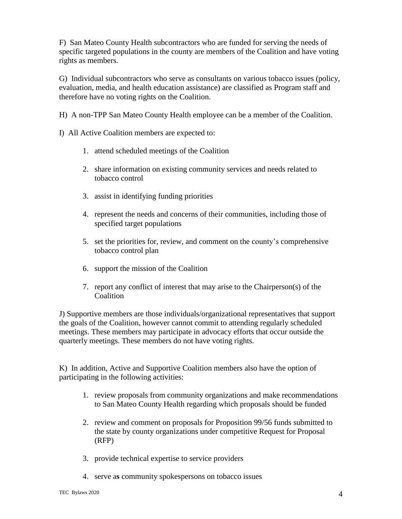F) San Mateo County Health subcontractors who are funded for serving the needs of specific targeted populations in the county are members of the Coalition and have voting rights as members.

G) Individual subcontractors who serve as consultants on various tobacco issues (policy, evaluation, media, and health education assistance) are classified as Program staff and therefore have no voting rights on the Coalition.

H) A non-TPP San Mateo County Health employee can be a member of the Coalition.

I) All Active Coalition members are expected to:

- 1. attend scheduled meetings of the Coalition
- 2. share information on existing community services and needs related to tobacco control
- 3. assist in identifying funding priorities
- 4. represent the needs and concerns of their communities, including those of specified target populations
- 5. set the priorities for, review, and comment on the county's comprehensive tobacco control plan
- 6. support the mission of the Coalition
- 7. report any conflict of interest that may arise to the Chairperson(s) of the **Coalition**

J) Supportive members are those individuals/organizational representatives that support the goals of the Coalition, however cannot commit to attending regularly scheduled meetings. These members may participate in advocacy efforts that occur outside the quarterly meetings. These members do not have voting rights.

K) In addition, Active and Supportive Coalition members also have the option of participating in the following activities:

- 1. review proposals from community organizations and make recommendations to San Mateo County Health regarding which proposals should be funded
- 2. review and comment on proposals for Proposition 99/56 funds submitted to the state by county organizations under competitive Request for Proposal (RFP)
- 3. provide technical expertise to service providers
- 4. serve a**s** community spokespersons on tobacco issues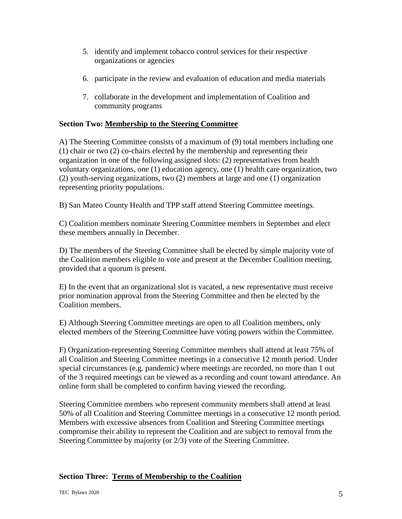- 5. identify and implement tobacco control services for their respective organizations or agencies
- 6. participate in the review and evaluation of education and media materials
- 7. collaborate in the development and implementation of Coalition and community programs

## **Section Two: Membership to the Steering Committee**

A) The Steering Committee consists of a maximum of (9) total members including one (1) chair or two (2) co-chairs elected by the membership and representing their organization in one of the following assigned slots: (2) representatives from health voluntary organizations, one (1) education agency, one (1) health care organization, two (2) youth-serving organizations, two (2) members at large and one (1) organization representing priority populations.

B) San Mateo County Health and TPP staff attend Steering Committee meetings.

C) Coalition members nominate Steering Committee members in September and elect these members annually in December.

D) The members of the Steering Committee shall be elected by simple majority vote of the Coalition members eligible to vote and present at the December Coalition meeting, provided that a quorum is present.

E) In the event that an organizational slot is vacated, a new representative must receive prior nomination approval from the Steering Committee and then be elected by the Coalition members.

E) Although Steering Committee meetings are open to all Coalition members, only elected members of the Steering Committee have voting powers within the Committee.

F) Organization-representing Steering Committee members shall attend at least 75% of all Coalition and Steering Committee meetings in a consecutive 12 month period. Under special circumstances (e.g. pandemic) where meetings are recorded, no more than 1 out of the 3 required meetings can be viewed as a recording and count toward attendance. An online form shall be completed to confirm having viewed the recording.

Steering Committee members who represent community members shall attend at least 50% of all Coalition and Steering Committee meetings in a consecutive 12 month period. Members with excessive absences from Coalition and Steering Committee meetings compromise their ability to represent the Coalition and are subject to removal from the Steering Committee by majority (or 2/3) vote of the Steering Committee.

# **Section Three: Terms of Membership to the Coalition**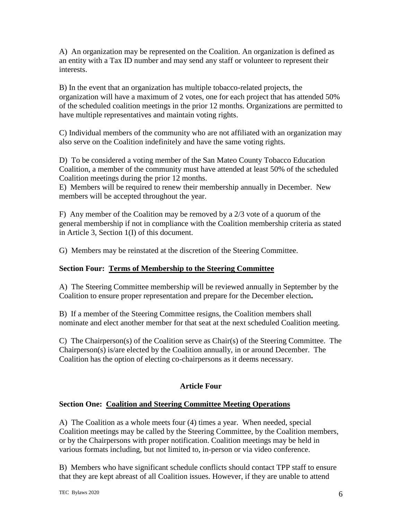A) An organization may be represented on the Coalition. An organization is defined as an entity with a Tax ID number and may send any staff or volunteer to represent their interests.

B) In the event that an organization has multiple tobacco-related projects, the organization will have a maximum of 2 votes, one for each project that has attended 50% of the scheduled coalition meetings in the prior 12 months. Organizations are permitted to have multiple representatives and maintain voting rights.

C) Individual members of the community who are not affiliated with an organization may also serve on the Coalition indefinitely and have the same voting rights.

D) To be considered a voting member of the San Mateo County Tobacco Education Coalition, a member of the community must have attended at least 50% of the scheduled Coalition meetings during the prior 12 months.

E) Members will be required to renew their membership annually in December. New members will be accepted throughout the year.

F) Any member of the Coalition may be removed by a 2/3 vote of a quorum of the general membership if not in compliance with the Coalition membership criteria as stated in Article 3, Section 1(I) of this document.

G) Members may be reinstated at the discretion of the Steering Committee.

# **Section Four: Terms of Membership to the Steering Committee**

A) The Steering Committee membership will be reviewed annually in September by the Coalition to ensure proper representation and prepare for the December election**.**

B) If a member of the Steering Committee resigns, the Coalition members shall nominate and elect another member for that seat at the next scheduled Coalition meeting.

C) The Chairperson(s) of the Coalition serve as Chair(s) of the Steering Committee. The Chairperson(s) is/are elected by the Coalition annually, in or around December. The Coalition has the option of electing co-chairpersons as it deems necessary.

# **Article Four**

# **Section One: Coalition and Steering Committee Meeting Operations**

A) The Coalition as a whole meets four (4) times a year. When needed, special Coalition meetings may be called by the Steering Committee, by the Coalition members, or by the Chairpersons with proper notification. Coalition meetings may be held in various formats including, but not limited to, in-person or via video conference.

B) Members who have significant schedule conflicts should contact TPP staff to ensure that they are kept abreast of all Coalition issues. However, if they are unable to attend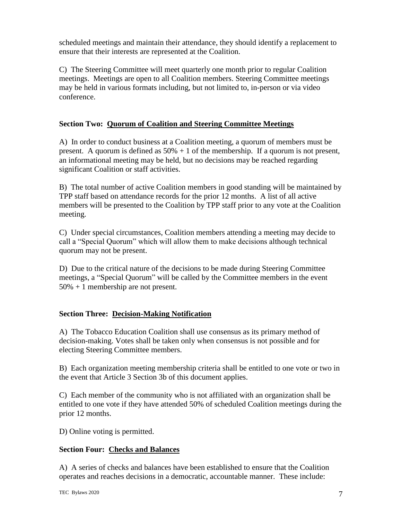scheduled meetings and maintain their attendance, they should identify a replacement to ensure that their interests are represented at the Coalition.

C) The Steering Committee will meet quarterly one month prior to regular Coalition meetings. Meetings are open to all Coalition members. Steering Committee meetings may be held in various formats including, but not limited to, in-person or via video conference.

## **Section Two: Quorum of Coalition and Steering Committee Meetings**

A) In order to conduct business at a Coalition meeting, a quorum of members must be present. A quorum is defined as  $50\% + 1$  of the membership. If a quorum is not present, an informational meeting may be held, but no decisions may be reached regarding significant Coalition or staff activities.

B) The total number of active Coalition members in good standing will be maintained by TPP staff based on attendance records for the prior 12 months. A list of all active members will be presented to the Coalition by TPP staff prior to any vote at the Coalition meeting.

C) Under special circumstances, Coalition members attending a meeting may decide to call a "Special Quorum" which will allow them to make decisions although technical quorum may not be present.

D) Due to the critical nature of the decisions to be made during Steering Committee meetings, a "Special Quorum" will be called by the Committee members in the event 50% + 1 membership are not present.

# **Section Three: Decision-Making Notification**

A) The Tobacco Education Coalition shall use consensus as its primary method of decision-making. Votes shall be taken only when consensus is not possible and for electing Steering Committee members.

B) Each organization meeting membership criteria shall be entitled to one vote or two in the event that Article 3 Section 3b of this document applies.

C) Each member of the community who is not affiliated with an organization shall be entitled to one vote if they have attended 50% of scheduled Coalition meetings during the prior 12 months.

D) Online voting is permitted.

# **Section Four: Checks and Balances**

A) A series of checks and balances have been established to ensure that the Coalition operates and reaches decisions in a democratic, accountable manner. These include: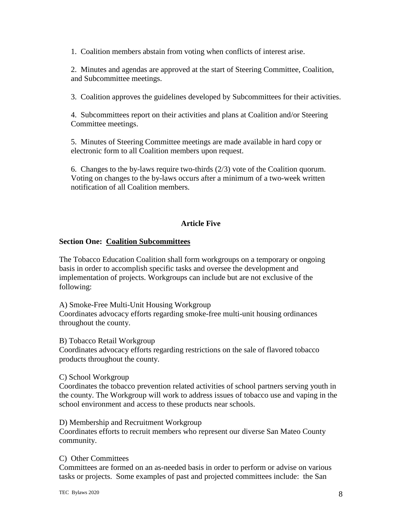1. Coalition members abstain from voting when conflicts of interest arise.

2. Minutes and agendas are approved at the start of Steering Committee, Coalition, and Subcommittee meetings.

3. Coalition approves the guidelines developed by Subcommittees for their activities.

4. Subcommittees report on their activities and plans at Coalition and/or Steering Committee meetings.

5. Minutes of Steering Committee meetings are made available in hard copy or electronic form to all Coalition members upon request.

6. Changes to the by-laws require two-thirds (2/3) vote of the Coalition quorum. Voting on changes to the by-laws occurs after a minimum of a two-week written notification of all Coalition members.

### **Article Five**

### **Section One: Coalition Subcommittees**

The Tobacco Education Coalition shall form workgroups on a temporary or ongoing basis in order to accomplish specific tasks and oversee the development and implementation of projects. Workgroups can include but are not exclusive of the following:

A) Smoke-Free Multi-Unit Housing Workgroup

Coordinates advocacy efforts regarding smoke-free multi-unit housing ordinances throughout the county.

B) Tobacco Retail Workgroup

Coordinates advocacy efforts regarding restrictions on the sale of flavored tobacco products throughout the county.

#### C) School Workgroup

Coordinates the tobacco prevention related activities of school partners serving youth in the county. The Workgroup will work to address issues of tobacco use and vaping in the school environment and access to these products near schools.

D) Membership and Recruitment Workgroup

Coordinates efforts to recruit members who represent our diverse San Mateo County community.

### C) Other Committees

Committees are formed on an as-needed basis in order to perform or advise on various tasks or projects. Some examples of past and projected committees include: the San